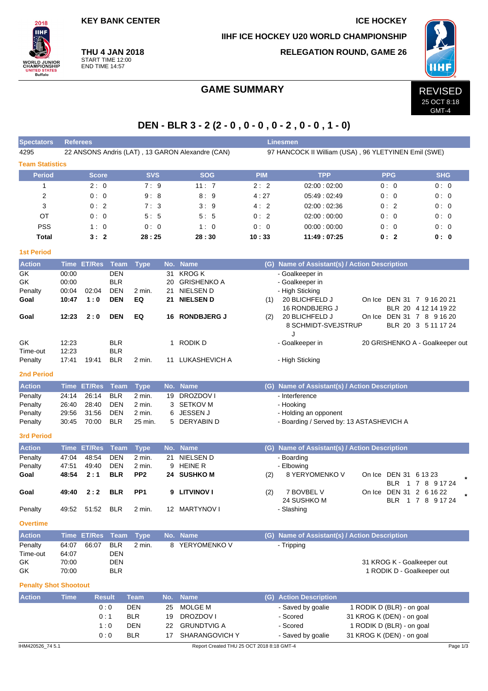**KEY BANK CENTER IN THE SERVICE HOCKEY** 

**IIHF ICE HOCKEY U20 WORLD CHAMPIONSHIP**



**THU 4 JAN 2018** START TIME 12:00 END TIME 14:57

# **RELEGATION ROUND, GAME 26**



GMT-4

# GAME SUMMARY REVISED

# **DEN - BLR 3 - 2 (2 - 0 , 0 - 0 , 0 - 2 , 0 - 0 , 1 - 0)**

| <b>Spectators</b>            | <b>Referees</b><br><b>Linesmen</b> |                  |                          |                  |         |                                                  |                                                      |                                               |                                           |                                       |  |  |  |  |  |  |  |
|------------------------------|------------------------------------|------------------|--------------------------|------------------|---------|--------------------------------------------------|------------------------------------------------------|-----------------------------------------------|-------------------------------------------|---------------------------------------|--|--|--|--|--|--|--|
| 4295                         |                                    |                  |                          |                  |         | 22 ANSONS Andris (LAT), 13 GARON Alexandre (CAN) | 97 HANCOCK II William (USA), 96 YLETYINEN Emil (SWE) |                                               |                                           |                                       |  |  |  |  |  |  |  |
| <b>Team Statistics</b>       |                                    |                  |                          |                  |         |                                                  |                                                      |                                               |                                           |                                       |  |  |  |  |  |  |  |
| <b>Period</b>                |                                    | <b>Score</b>     |                          | <b>SVS</b>       |         | <b>SOG</b>                                       | <b>PIM</b>                                           | <b>TPP</b>                                    | <b>PPG</b>                                | <b>SHG</b>                            |  |  |  |  |  |  |  |
| 1                            |                                    | 2:0              |                          | 7:9              |         | 11:7                                             | 2:2                                                  | 02:00:02:00                                   | 0:0                                       | 0:0                                   |  |  |  |  |  |  |  |
| 2                            |                                    | 0:0              |                          | 9:8              |         | 8:9                                              | 4:27                                                 | 05:49:02:49                                   | 0:0                                       | 0:0                                   |  |  |  |  |  |  |  |
| 3                            |                                    | 0:2              |                          | 7:3              |         | 3:9                                              | 4:2                                                  | 02:00:02:36                                   | 0:2                                       | 0:0                                   |  |  |  |  |  |  |  |
| ОT                           |                                    | 0:0              |                          | 5:5              |         | 5:5                                              | 0:2                                                  | 02:00:00:00                                   | 0:0                                       | 0:0                                   |  |  |  |  |  |  |  |
| <b>PSS</b>                   |                                    | 1:0              |                          | 0:0              |         | 1:0                                              | 0: 0                                                 | 00:00:00:00                                   | 0: 0                                      | 0: 0                                  |  |  |  |  |  |  |  |
| <b>Total</b>                 |                                    | 3:2              |                          | 28:25            |         | 28:30                                            | 10:33                                                | 11:49:07:25                                   | 0:2                                       | 0: 0                                  |  |  |  |  |  |  |  |
| <b>1st Period</b>            |                                    |                  |                          |                  |         |                                                  |                                                      |                                               |                                           |                                       |  |  |  |  |  |  |  |
| <b>Action</b>                |                                    | Time ET/Res Team |                          | <b>Type</b>      |         | No. Name                                         |                                                      | (G) Name of Assistant(s) / Action Description |                                           |                                       |  |  |  |  |  |  |  |
| GK                           | 00:00                              |                  | <b>DEN</b>               |                  | 31      | <b>KROG K</b>                                    |                                                      | - Goalkeeper in                               |                                           |                                       |  |  |  |  |  |  |  |
| GK                           | 00:00                              |                  | <b>BLR</b>               |                  | 20      | <b>GRISHENKO A</b>                               |                                                      | - Goalkeeper in                               |                                           |                                       |  |  |  |  |  |  |  |
| Penalty                      | 00:04                              | 02:04            | <b>DEN</b>               | 2 min.           | 21      | NIELSEN D                                        |                                                      | - High Sticking                               |                                           |                                       |  |  |  |  |  |  |  |
| Goal                         | 10:47                              | 1:0              | <b>DEN</b>               | EQ               | 21      | <b>NIELSEN D</b>                                 | (1)                                                  | 20 BLICHFELD J                                | On Ice DEN 31 7 9 16 20 21                |                                       |  |  |  |  |  |  |  |
| Goal                         | 12:23                              | 2:0              | <b>DEN</b>               | EQ               |         | 16 RONDBJERG J                                   | (2)                                                  | 16 RONDBJERG J<br>20 BLICHFELD J              | On Ice DEN 31 7 8 9 16 20                 | BLR 20 4 12 14 19 22                  |  |  |  |  |  |  |  |
|                              |                                    |                  |                          |                  |         |                                                  |                                                      | 8 SCHMIDT-SVEJSTRUP<br>J                      |                                           | BLR 20 3 5 11 17 24                   |  |  |  |  |  |  |  |
| GK                           | 12:23                              |                  | <b>BLR</b>               |                  |         | 1 RODIK D                                        |                                                      | - Goalkeeper in                               |                                           | 20 GRISHENKO A - Goalkeeper out       |  |  |  |  |  |  |  |
| Time-out                     | 12:23                              |                  | <b>BLR</b>               |                  |         |                                                  |                                                      |                                               |                                           |                                       |  |  |  |  |  |  |  |
| Penalty                      | 17:41                              | 19:41            | <b>BLR</b>               | 2 min.           |         | 11 LUKASHEVICH A                                 |                                                      | - High Sticking                               |                                           |                                       |  |  |  |  |  |  |  |
| <b>2nd Period</b>            |                                    |                  |                          |                  |         |                                                  |                                                      |                                               |                                           |                                       |  |  |  |  |  |  |  |
| <b>Action</b>                | <b>Time</b>                        | <b>ET/Res</b>    | <b>Team</b>              | <b>Type</b>      | No.     | <b>Name</b>                                      | (G)                                                  |                                               | Name of Assistant(s) / Action Description |                                       |  |  |  |  |  |  |  |
| Penalty                      | 24:14                              | 26:14            | <b>BLR</b>               | 2 min.           | 19      | <b>DROZDOVI</b>                                  |                                                      | - Interference                                |                                           |                                       |  |  |  |  |  |  |  |
| Penalty<br>Penalty           | 26:40<br>29:56                     | 28:40<br>31:56   | <b>DEN</b><br><b>DEN</b> | 2 min.<br>2 min. | 3.<br>6 | <b>SETKOV M</b><br><b>JESSEN J</b>               |                                                      | - Hooking<br>- Holding an opponent            |                                           |                                       |  |  |  |  |  |  |  |
| Penalty                      | 30:45                              | 70:00            | <b>BLR</b>               | 25 min.          | 5       | DERYABIN D                                       |                                                      |                                               | - Boarding / Served by: 13 ASTASHEVICH A  |                                       |  |  |  |  |  |  |  |
|                              |                                    |                  |                          |                  |         |                                                  |                                                      |                                               |                                           |                                       |  |  |  |  |  |  |  |
| <b>3rd Period</b>            |                                    |                  |                          |                  |         |                                                  |                                                      |                                               |                                           |                                       |  |  |  |  |  |  |  |
| <b>Action</b>                | Time                               | <b>ET/Res</b>    | <b>Team</b>              | <b>Type</b>      | No.     | <b>Name</b>                                      | (G)                                                  | Name of Assistant(s) / Action Description     |                                           |                                       |  |  |  |  |  |  |  |
| Penalty                      | 47:04                              | 48:54            | <b>DEN</b>               | 2 min.           | 21      | NIELSEN D                                        |                                                      | - Boarding                                    |                                           |                                       |  |  |  |  |  |  |  |
| Penalty                      | 47:51                              | 49:40            | <b>DEN</b>               | 2 min.           | 9       | <b>HEINE R</b>                                   |                                                      | - Elbowing                                    |                                           |                                       |  |  |  |  |  |  |  |
| Goal                         | 48:54                              | 2:1              | <b>BLR</b>               | PP <sub>2</sub>  |         | 24 SUSHKO M                                      | (2)                                                  | 8 YERYOMENKO V                                | On Ice DEN 31 6 13 23                     | BLR 1 7 8 9 17 24                     |  |  |  |  |  |  |  |
| Goal                         | 49:40                              | 2:2              | <b>BLR</b>               | PP <sub>1</sub>  | 9       | <b>LITVINOV I</b>                                | (2)                                                  | 7 BOVBEL V<br>24 SUSHKO M                     | On Ice                                    | DEN 31 2 6 16 22<br>BLR 1 7 8 9 17 24 |  |  |  |  |  |  |  |
| Penalty                      | 49:52                              | 51:52            | <b>BLR</b>               | 2 min.           |         | 12 MARTYNOV I                                    |                                                      | - Slashing                                    |                                           |                                       |  |  |  |  |  |  |  |
| <b>Overtime</b>              |                                    |                  |                          |                  |         |                                                  |                                                      |                                               |                                           |                                       |  |  |  |  |  |  |  |
| <b>Action</b>                |                                    | Time ET/Res      | Team                     | <b>Type</b>      |         | No. Name                                         |                                                      | (G) Name of Assistant(s) / Action Description |                                           |                                       |  |  |  |  |  |  |  |
| Penalty                      | 64:07                              | 66:07            | <b>BLR</b>               | 2 min.           |         | 8 YERYOMENKO V                                   |                                                      | - Tripping                                    |                                           |                                       |  |  |  |  |  |  |  |
| Time-out                     | 64:07                              |                  | DEN                      |                  |         |                                                  |                                                      |                                               |                                           |                                       |  |  |  |  |  |  |  |
| GK                           | 70:00                              |                  | <b>DEN</b>               |                  |         |                                                  |                                                      |                                               | 31 KROG K - Goalkeeper out                |                                       |  |  |  |  |  |  |  |
| GK                           | 70:00                              |                  | <b>BLR</b>               |                  |         |                                                  |                                                      |                                               | 1 RODIK D - Goalkeeper out                |                                       |  |  |  |  |  |  |  |
| <b>Penalty Shot Shootout</b> |                                    |                  |                          |                  |         |                                                  |                                                      |                                               |                                           |                                       |  |  |  |  |  |  |  |
| <b>Action</b>                | <b>Time</b>                        | <b>Result</b>    |                          | <b>Team</b>      | No.     | <b>Name</b>                                      |                                                      | (G) Action Description                        |                                           |                                       |  |  |  |  |  |  |  |
|                              |                                    |                  | 0:0                      | <b>DEN</b>       | 25      | MOLGE M                                          |                                                      | - Saved by goalie                             | 1 RODIK D (BLR) - on goal                 |                                       |  |  |  |  |  |  |  |
|                              |                                    |                  | 0:1                      | <b>BLR</b>       | 19      | DROZDOV I                                        |                                                      | - Scored                                      | 31 KROG K (DEN) - on goal                 |                                       |  |  |  |  |  |  |  |
|                              |                                    |                  | 1:0                      | <b>DEN</b>       | 22      | <b>GRUNDTVIG A</b>                               |                                                      | - Scored                                      | 1 RODIK D (BLR) - on goal                 |                                       |  |  |  |  |  |  |  |
|                              |                                    |                  | 0:0                      | <b>BLR</b>       | 17      | SHARANGOVICH Y                                   |                                                      | - Saved by goalie                             | 31 KROG K (DEN) - on goal                 |                                       |  |  |  |  |  |  |  |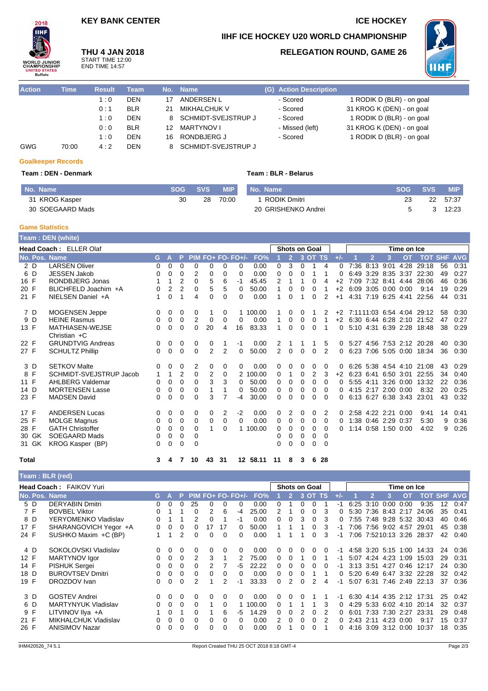## **KEY BANK CENTER ICE HOCKEY**

**THU 4 JAN 2018** START TIME 12:00 END TIME 14:57

# **IIHF ICE HOCKEY U20 WORLD CHAMPIONSHIP**

## **RELEGATION ROUND, GAME 26**



| <b>Action</b> | Time  | <b>Result</b> | Team       |    | No. Name                   | (G) Action Description |                           |
|---------------|-------|---------------|------------|----|----------------------------|------------------------|---------------------------|
|               |       | 1:0           | <b>DEN</b> |    | ANDERSEN L                 | - Scored               | 1 RODIK D (BLR) - on goal |
|               |       | 0:1           | <b>BLR</b> | 21 | <b>MIKHALCHUK V</b>        | - Scored               | 31 KROG K (DEN) - on goal |
|               |       | 1:0           | <b>DEN</b> | 8  | <b>SCHMIDT-SVEJSTRUP J</b> | - Scored               | 1 RODIK D (BLR) - on goal |
|               |       | 0:0           | <b>BLR</b> | 12 | <b>MARTYNOV I</b>          | - Missed (left)        | 31 KROG K (DEN) - on goal |
|               |       | 1:0           | <b>DEN</b> | 16 | RONDBJERG J                | - Scored               | 1 RODIK D (BLR) - on goal |
| GWG           | 70:00 | 4:2           | <b>DEN</b> | 8  | <b>SCHMIDT-SVEJSTRUP J</b> |                        |                           |

### **Goalkeeper Records**

 $2018$ **IIHF** 

'ORLD JUNIOR<br>HAMPIONSHIP

TATES TED STA<br>Buffalo

### **Team : DEN - Denmark Team : BLR - Belarus**

| No. Name         | <b>SOG</b> | <b>SVS</b> | <b>MIP</b> | No. Name            | <b>SOG</b> | <b>SVS</b> | <b>MIP</b> |
|------------------|------------|------------|------------|---------------------|------------|------------|------------|
| 31 KROG Kasper   | 30         | 28         | 70:00      | RODIK Dmitri        |            | 22         | 57:37      |
| 30 SOEGAARD Mads |            |            |            | 20 GRISHENKO Andrei |            |            | 12:23      |

### **Game Statistics**

|               | Team: DEN (white)                        |              |   |                |             |                |                |                   |          |          |                |                      |          |          |       |                |                     |               |                             |    |            |
|---------------|------------------------------------------|--------------|---|----------------|-------------|----------------|----------------|-------------------|----------|----------|----------------|----------------------|----------|----------|-------|----------------|---------------------|---------------|-----------------------------|----|------------|
|               | Head Coach: ELLER Olaf                   |              |   |                |             |                |                |                   |          |          |                | <b>Shots on Goal</b> |          |          |       |                |                     | Time on Ice   |                             |    |            |
| No. Pos. Name |                                          | G.           | A | P              |             |                |                | PIM FO+ FO- FO+/- | FO%      |          | $\overline{2}$ |                      | 3 OT TS  |          | $+/-$ |                | 3                   | <b>OT</b>     | <b>TOT SHF</b>              |    | <b>AVG</b> |
| 2 D           | <b>LARSEN Oliver</b>                     | 0            | 0 | 0              | 0           | 0              | 0              | $\Omega$          | 0.00     | $\Omega$ | 3              | $\Omega$             | 1        | 4        | 0     | 7:36 8:13 9:01 |                     | 4:28          | 29:18                       | 56 | 0:31       |
| 6 D           | <b>JESSEN Jakob</b>                      | 0            | 0 | $\Omega$       | 2           | 0              | $\Omega$       | 0                 | 0.00     | 0        | 0              | 0                    | 1        | 1        | 0     |                | 6:49 3:29 8:35 3:37 |               | 22:30                       | 49 | 0:27       |
| 16 F          | RONDBJERG Jonas                          |              | 1 | 2              | $\Omega$    | 5              | 6              | -1                | 45.45    | 2        |                |                      | 0        | 4        | $+2$  |                | 7:09 7:32 8:41 4:44 |               | 28:06                       | 46 | 0:36       |
| 20 F          | BLICHFELD Joachim +A                     | 0            | 2 | $\overline{2}$ | 0           | 5              | 5              | $\Omega$          | 50.00    |          | $\Omega$       | 0                    | 0        |          | $+2$  |                | 6:09 3:05 0:00      | 0:00          | 9:14                        | 19 | 0:29       |
| 21 F          | NIELSEN Daniel +A                        | 1            | 0 | 1              | 4           | 0              | $\Omega$       | 0                 | 0.00     |          | $\Omega$       |                      | 0        | 2        | $+1$  |                | 4:31 7:19 6:25 4:41 |               | 22:56                       | 44 | 0:31       |
| 7 D           | MOGENSEN Jeppe                           | 0            | 0 | 0              | 0           |                | 0              |                   | 1 100.00 |          | 0              | 0                    |          | 2        | $+2$  |                |                     |               | 7:1111:03 6:54 4:04 29:12   | 58 | 0:30       |
| 9 D           | <b>HEINE Rasmus</b>                      | 0            | 0 | 0              | 2           | 0              | 0              | 0                 | 0.00     |          | 0              | 0                    | 0        | 1        | $+2$  |                |                     |               | 6:30 6:44 6:28 2:10 21:52   | 47 | 0:27       |
| 13 F          | <b>MATHIASEN-WEJSE</b><br>Christian $+C$ | 0            | 0 | $\Omega$       | 0           | 20             | 4              | 16                | 83.33    |          | $\Omega$       | $\Omega$             | $\Omega$ |          | 0     |                |                     |               | 5:10 4:31 6:39 2:28 18:48   | 38 | 0:29       |
| 22 F          | <b>GRUNDTVIG Andreas</b>                 | 0            | 0 | 0              | 0           | 0              | 1              | -1                | 0.00     | 2        | 1              |                      |          | 5        |       |                |                     |               | 0 5:27 4:56 7:53 2:12 20:28 | 40 | 0:30       |
| 27 F          | <b>SCHULTZ Phillip</b>                   | 0            | 0 | 0              | 0           | $\overline{2}$ | $\overline{2}$ | $\Omega$          | 50.00    | 2        | 0              | $\Omega$             | 0        | 2        | 0     |                |                     |               | 6:23 7:06 5:05 0:00 18:34   | 36 | 0:30       |
| 3 D           | <b>SETKOV Malte</b>                      | 0            | 0 | 0              | 2           | 0              | 0              | 0                 | 0.00     | 0        | 0              | 0                    | 0        | 0        | O     |                |                     |               | 6:26 5:38 4:54 4:10 21:08   | 43 | 0:29       |
| 8 F           | SCHMIDT-SVEJSTRUP Jacob                  | $\mathbf{1}$ | 1 | $\overline{2}$ | $\Omega$    | $\overline{2}$ | 0              |                   | 2 100.00 | $\Omega$ | 1              | $\Omega$             | 2        | 3        | $+2$  |                | 6.23 6.41 6.50 3.01 |               | 22:55                       | 34 | 0:40       |
| 11 F          | <b>AHLBERG Valdemar</b>                  | 0            | 0 | $\Omega$       | $\Omega$    | 3              | 3              | 0                 | 50.00    | 0        | 0              | 0                    | 0        | 0        | 0     | 5:55 4:11      |                     | $3:26$ $0:00$ | 13:32                       | 22 | 0:36       |
| 14 D          | <b>MORTENSEN Lasse</b>                   | 0            | 0 | $\Omega$       | 0           |                |                | 0                 | 50.00    | $\Omega$ | 0              | 0                    | 0        | $\Omega$ | 0     |                | 4:15 2:17 2:00 0:00 |               | 8:32                        | 20 | 0:25       |
| 23 F          | <b>MADSEN David</b>                      | 0            | 0 | 0              | 0           | 3              |                | -4                | 30.00    | $\Omega$ | 0              | $\Omega$             | $\Omega$ | 0        | 0     |                | 6:13 6:27 6:38 3:43 |               | 23:01                       | 43 | 0:32       |
| 17 F          | <b>ANDERSEN Lucas</b>                    | 0            | 0 | 0              | 0           | 0              | 2              | $-2$              | 0.00     | 0        | 2              | 0                    | 0        | 2        | 0     |                | 2:58 4:22 2:21 0:00 |               | 9:41                        | 14 | 0:41       |
| 25 F          | <b>MOLGE Magnus</b>                      | 0            | 0 | $\Omega$       | $\mathbf 0$ | $\Omega$       | $\Omega$       | $\Omega$          | 0.00     | $\Omega$ | 0              | 0                    | 0        | $\Omega$ | 0     |                | 1:38 0:46 2:29 0:37 |               | 5:30                        | 9  | 0:36       |
| 28 F          | <b>GATH Christoffer</b>                  | 0            | 0 | 0              | 0           |                | $\Omega$       |                   | 1 100.00 | $\Omega$ | 0              | 0                    | 0        | $\Omega$ | 0     |                | 1:14 0:58 1:50 0:00 |               | 4:02                        | 9  | 0:26       |
| 30 GK         | <b>SOEGAARD Mads</b>                     | 0            | 0 | 0              | $\mathbf 0$ |                |                |                   |          | 0        | 0              | 0                    | 0        | $\Omega$ |       |                |                     |               |                             |    |            |
| 31 GK         | KROG Kasper (BP)                         | 0            | 0 | 0              | $\Omega$    |                |                |                   |          | 0        | $\Omega$       | $\Omega$             | $\Omega$ | $\Omega$ |       |                |                     |               |                             |    |            |
| Total         |                                          | 3            | 4 | 7              | 10          | 43             | 31             |                   | 12 58.11 | 11       | 8              | 3                    | 6        | -28      |       |                |                     |               |                             |    |            |

| Team: BLR (red) |                                |    |          |          |          |    |          |                     |        |          |                          |          |                      |          |       |             |                |                     |           |                           |    |                |
|-----------------|--------------------------------|----|----------|----------|----------|----|----------|---------------------|--------|----------|--------------------------|----------|----------------------|----------|-------|-------------|----------------|---------------------|-----------|---------------------------|----|----------------|
|                 | <b>Head Coach: FAIKOV Yuri</b> |    |          |          |          |    |          |                     |        |          |                          |          | <b>Shots on Goal</b> |          |       | Time on Ice |                |                     |           |                           |    |                |
| No. Pos. Name   |                                | G. | A        | P        |          |    |          | $PIM FO+ FO- FO+/-$ | FO%    |          | $\overline{\phantom{a}}$ |          | 3 OT TS              |          | $+/-$ |             | $\overline{2}$ | 3                   | <b>OT</b> | <b>TOT</b>                |    | <b>SHF AVG</b> |
| 5 D             | <b>DERYABIN Dmitri</b>         | 0  | $\Omega$ | 0        | 25       |    | $\Omega$ | 0                   | 0.00   | 0        |                          | 0        |                      |          | -1    | 6:25        | 3:10           | 0:00                | 0:00      | 9:35                      | 12 | 0.47           |
| 7 F             | <b>BOVBEL Viktor</b>           | 0  |          |          | $\Omega$ | 2  | 6        | -4                  | 25.00  |          |                          | 0        |                      | 3        |       | 5:30        |                | 7:36 8:43           | 2:17      | 24:06                     | 35 | 0:41           |
| 8 D             | YERYOMENKO Vladislav           | 0  |          |          | 2        | 0  |          | -1                  | 0.00   | 0        | 0                        | 3        | 0                    | 3        |       | 7:55        |                | 7:48 9:28           | 5:32      | 30:43                     | 40 | 0:46           |
| 17 F            | SHARANGOVICH Yegor +A          | 0  | $\Omega$ | 0        | 0        | 17 | 17       | 0                   | 50.00  |          |                          |          | 0                    | 3        | -1    | 7:06        |                | 7:56 9:02 4:57      |           | 29:01                     | 45 | 0:38           |
| 24 F            | SUSHKO Maxim +C (BP)           |    |          | 2        | $\Omega$ | 0  | $\Omega$ | $\Omega$            | 0.00   |          |                          |          | 0                    | 3        | -1    |             |                |                     |           | 7:06 7:5210:13 3:26 28:37 | 42 | 0:40           |
| 4 D             | SOKOLOVSKI Vladislav           | 0  | 0        | $\Omega$ | 0        | 0  | $\Omega$ | 0                   | 0.00   | 0        | 0                        | 0        | 0                    | $\Omega$ | -1    |             |                | 4:58 3:20 5:15 1:00 |           | 14:33                     | 24 | 0:36           |
| 12 F            | MARTYNOV Igor                  | 0  | 0        | 0        | 2        | 3  |          | 2                   | 75.00  | 0        | 0                        |          | 0                    |          | -1    |             | 5:07 4:24 4:23 |                     | 1:09      | 15:03                     | 29 | 0:31           |
| 14 F            | PISHUK Sergei                  | 0  | $\Omega$ | 0        | $\Omega$ | 2  |          | -5                  | 22.22  | $\Omega$ | 0                        | 0        |                      | n        | -1    | 3:13 3:51   |                | 4:27                | 0:46      | 12:17                     | 24 | 0:30           |
| 18 D            | <b>BUROVTSEV Dmitri</b>        | 0  | $\Omega$ | 0        | $\Omega$ | 0  | 0        | 0                   | 0.00   | 0        | $\Omega$                 | $\Omega$ |                      |          |       |             |                |                     |           | 5:20 6:49 6:47 3:32 22:28 | 32 | 0:42           |
| 19 F            | DROZDOV Ivan                   | 0  | $\Omega$ | 0        | 2        |    | 2        | -1                  | 33.33  | 0        | 2                        | 0        | 2                    | 4        | -1    | 5:07 6:31   |                | 7:46                |           | 2:49 22:13                | 37 | 0.36           |
| 3 D             | <b>GOSTEV Andrei</b>           | 0  | 0        | $\Omega$ | $\Omega$ | 0  | $\Omega$ | 0                   | 0.00   | 0        | 0                        | 0        |                      |          | -1    | 6:30        |                | 4:14 4:35 2:12      |           | 17:31                     | 25 | 0:42           |
| 6 D             | <b>MARTYNYUK Vladislav</b>     | 0  | 0        | 0        | $\Omega$ | 1  | $\Omega$ |                     | 100.00 | 0        |                          |          |                      | 3        | 0     | 4:29        |                | 5:33 6:02 4:10      |           | 20:14                     | 32 | 0:37           |
| 9 F             | LITVINOV Ilya +A               |    | 0        |          | 0        |    | 6        | -5                  | 14.29  | 0        | 0                        | 2        | 0                    | 2        |       | 6:01        |                | 7:33 7:30           | 2:27      | 23:31                     | 29 | 0:48           |
| 21 F            | <b>MIKHALCHUK Vladislav</b>    | 0  | 0        | 0        | 0        | 0  | $\Omega$ | 0                   | 0.00   | 2        | 0                        | 0        | 0                    |          | 0     | 2:43 2:11   |                | 4:23                | 0:00      | 9:17                      | 15 | 0:37           |
| 26 F            | <b>ANISIMOV Nazar</b>          | 0  | 0        | 0        | $\Omega$ |    |          | 0                   | 0.00   |          |                          |          |                      |          |       | 4:16        |                | $3:09$ $3:12$       | 0:00      | 10:37                     | 18 | 0:35           |